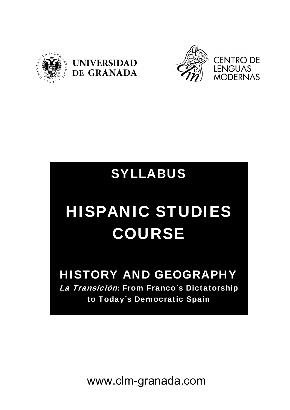





## SYLLABUS

# HISPANIC STUDIES COURSE

# HISTORY AND GEOGRAPHY

La Transición: From Franco's Dictatorship to Today´s Democratic Spain

www.clm-granada.com